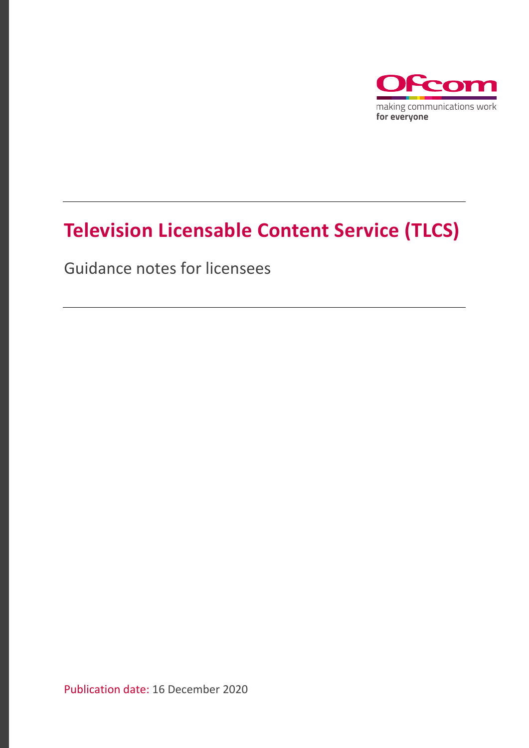

# **Television Licensable Content Service (TLCS)**

Guidance notes for licensees

Publication date: 16 December 2020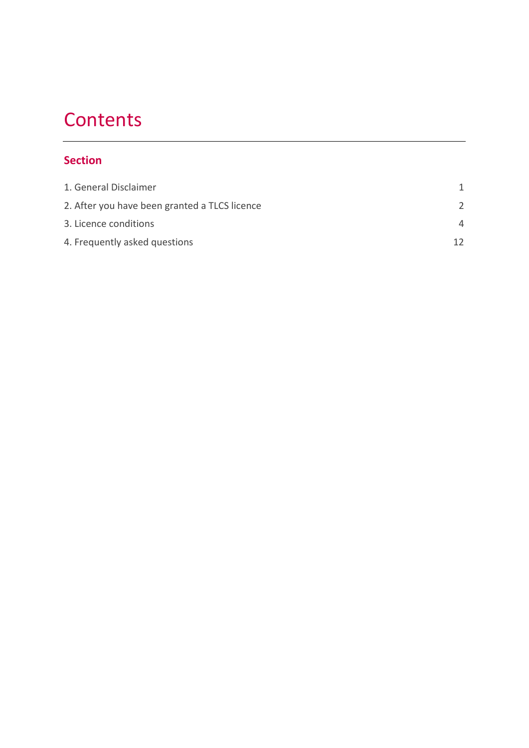# **Contents**

#### **Section**

| 4  |
|----|
| 12 |
|    |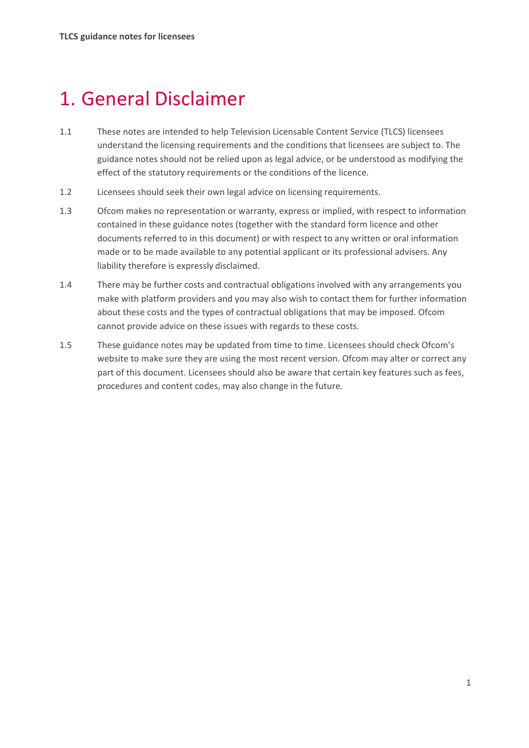# <span id="page-2-0"></span>1. General Disclaimer

- 1.1 These notes are intended to help Television Licensable Content Service (TLCS) licensees understand the licensing requirements and the conditions that licensees are subject to. The guidance notes should not be relied upon as legal advice, or be understood as modifying the effect of the statutory requirements or the conditions of the licence.
- 1.2 Licensees should seek their own legal advice on licensing requirements.
- 1.3 Ofcom makes no representation or warranty, express or implied, with respect to information contained in these guidance notes (together with the standard form licence and other documents referred to in this document) or with respect to any written or oral information made or to be made available to any potential applicant or its professional advisers. Any liability therefore is expressly disclaimed.
- 1.4 There may be further costs and contractual obligations involved with any arrangements you make with platform providers and you may also wish to contact them for further information about these costs and the types of contractual obligations that may be imposed. Ofcom cannot provide advice on these issues with regards to these costs.
- 1.5 These guidance notes may be updated from time to time. Licensees should check Ofcom's website to make sure they are using the most recent version. Ofcom may alter or correct any part of this document. Licensees should also be aware that certain key features such as fees, procedures and content codes, may also change in the future.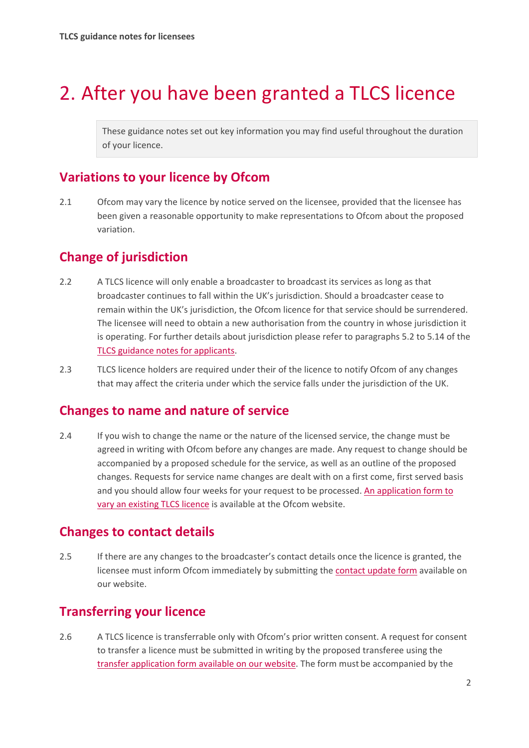# <span id="page-3-0"></span>2. After you have been granted a TLCS licence

These guidance notes set out key information you may find useful throughout the duration of your licence.

## **Variations to your licence by Ofcom**

2.1 Ofcom may vary the licence by notice served on the licensee, provided that the licensee has been given a reasonable opportunity to make representations to Ofcom about the proposed variation.

## **Change of jurisdiction**

- 2.2 A TLCS licence will only enable a broadcaster to broadcast its services as long as that broadcaster continues to fall within the UK's jurisdiction. Should a broadcaster cease to remain within the UK's jurisdiction, the Ofcom licence for that service should be surrendered. The licensee will need to obtain a new authorisation from the country in whose jurisdiction it is operating. For further details about jurisdiction please refer to paragraphs 5.2 to 5.14 of the [TLCS guidance notes for](https://www.ofcom.org.uk/__data/assets/pdf_file/0024/209409/tlcs-guidance-notes-for-applicants.pdf) applicants.
- 2.3 TLCS licence holders are required under their of the licence to notify Ofcom of any changes that may affect the criteria under which the service falls under the jurisdiction of the UK.

#### **Changes to name and nature of service**

2.4 If you wish to change the name or the nature of the licensed service, the change must be agreed in writing with Ofcom before any changes are made. Any request to change should be accompanied by a proposed schedule for the service, as well as an outline of the proposed changes. Requests for service name changes are dealt with on a first come, first served basis and you should allow four weeks for your request to be processed. [An application form to](https://www.ofcom.org.uk/__data/assets/pdf_file/0019/36127/application-to-vary-existing-tlcs.pdf)  [vary an existing](https://www.ofcom.org.uk/__data/assets/pdf_file/0019/36127/application-to-vary-existing-tlcs.pdf) TLCS licence is available at the Ofcom website.

#### **Changes to contact details**

2.5 If there are any changes to the broadcaster's contact details once the licence is granted, the licensee must inform Ofcom immediately by submitting th[e contact update form](https://www.ofcom.org.uk/__data/assets/pdf_file/0017/4616/updateform.pdf) available on our website.

### **Transferring your licence**

2.6 A TLCS licence is transferrable only with Ofcom's prior written consent. A request for consent to transfer a licence must be submitted in writing by the proposed transferee using the [transfer application form available on our website.](https://www.ofcom.org.uk/__data/assets/pdf_file/0015/32154/tlcs-transfer-application-form.pdf) The form must be accompanied by the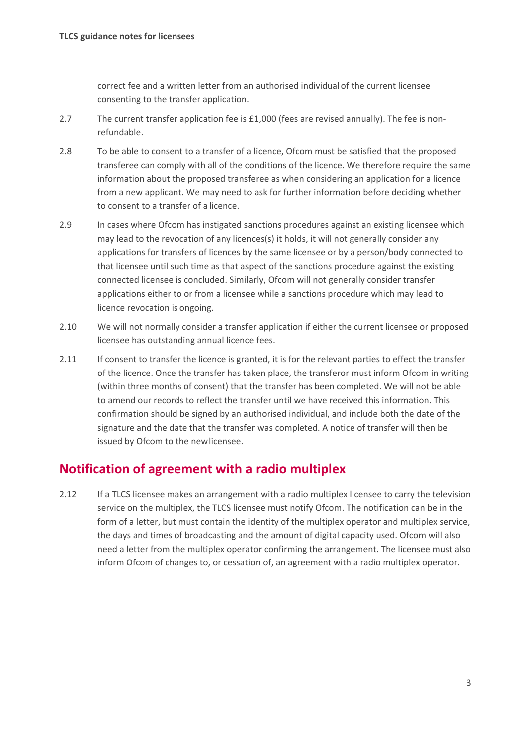correct fee and a written letter from an authorised individual of the current licensee consenting to the transfer application.

- 2.7 The current transfer application fee is £1,000 (fees are revised annually). The fee is nonrefundable.
- 2.8 To be able to consent to a transfer of a licence, Ofcom must be satisfied that the proposed transferee can comply with all of the conditions of the licence. We therefore require the same information about the proposed transferee as when considering an application for a licence from a new applicant. We may need to ask for further information before deciding whether to consent to a transfer of a licence.
- 2.9 In cases where Ofcom has instigated sanctions procedures against an existing licensee which may lead to the revocation of any licences(s) it holds, it will not generally consider any applications for transfers of licences by the same licensee or by a person/body connected to that licensee until such time as that aspect of the sanctions procedure against the existing connected licensee is concluded. Similarly, Ofcom will not generally consider transfer applications either to or from a licensee while a sanctions procedure which may lead to licence revocation is ongoing.
- 2.10 We will not normally consider a transfer application if either the current licensee or proposed licensee has outstanding annual licence fees.
- 2.11 If consent to transfer the licence is granted, it is for the relevant parties to effect the transfer of the licence. Once the transfer has taken place, the transferor must inform Ofcom in writing (within three months of consent) that the transfer has been completed. We will not be able to amend our records to reflect the transfer until we have received this information. This confirmation should be signed by an authorised individual, and include both the date of the signature and the date that the transfer was completed. A notice of transfer will then be issued by Ofcom to the newlicensee.

#### **Notification of agreement with a radio multiplex**

2.12 If a TLCS licensee makes an arrangement with a radio multiplex licensee to carry the television service on the multiplex, the TLCS licensee must notify Ofcom. The notification can be in the form of a letter, but must contain the identity of the multiplex operator and multiplex service, the days and times of broadcasting and the amount of digital capacity used. Ofcom will also need a letter from the multiplex operator confirming the arrangement. The licensee must also inform Ofcom of changes to, or cessation of, an agreement with a radio multiplex operator.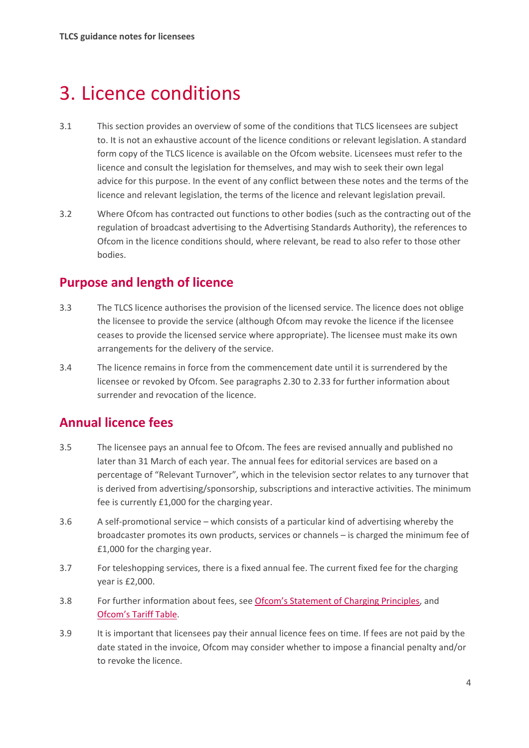# <span id="page-5-0"></span>3. Licence conditions

- 3.1 This section provides an overview of some of the conditions that TLCS licensees are subject to. It is not an exhaustive account of the licence conditions or relevant legislation. A standard form copy of the TLCS licence is available [on the Ofcom](https://www.ofcom.org.uk/manage-your-licence/tv-broadcast-licences/apply-for-a-tv-broadcast-licence) website. Licensees must refer to the licence and consult the legislation for themselves, and may wish to seek their own legal advice for this purpose. In the event of any conflict between these notes and the terms of the licence and relevant legislation, the terms of the licence and relevant legislation prevail.
- 3.2 Where Ofcom has contracted out functions to other bodies (such as the contracting out of the regulation of broadcast advertising to the Advertising Standards Authority), the references to Ofcom in the licence conditions should, where relevant, be read to also refer to those other bodies.

### **Purpose and length of licence**

- 3.3 The TLCS licence authorises the provision of the licensed service. The licence does not oblige the licensee to provide the service (although Ofcom may revoke the licence if the licensee ceases to provide the licensed service where appropriate). The licensee must make its own arrangements for the delivery of the service.
- 3.4 The licence remains in force from the commencement date until it is surrendered by the licensee or revoked by Ofcom. See paragraphs 2.30 to 2.33 for further information about surrender and revocation of the licence.

### **Annual licence fees**

- 3.5 The licensee pays an annual fee to Ofcom. The fees are revised annually and published no later than 31 March of each year. The annual fees for editorial services are based on a percentage of "Relevant Turnover", which in the television sector relates to any turnover that is derived from advertising/sponsorship, subscriptions and interactive activities. The minimum fee is currently £1,000 for the charging year.
- 3.6 A self-promotional service which consists of a particular kind of advertising whereby the broadcaster promotes its own products, services or channels – is charged the minimum fee of £1,000 for the charging year.
- 3.7 For teleshopping services, there is a fixed annual fee. The current fixed fee for the charging year is £2,000.
- 3.8 For further information about fees, see [Ofcom's Statement of Charging Principles,](https://www.ofcom.org.uk/__data/assets/pdf_file/0019/51058/charging_principles.pdf) and [Ofcom's Tariff](https://www.ofcom.org.uk/about-ofcom/annual-reports-and-plans/tariff-tables) Table.
- 3.9 It is important that licensees pay their annual licence fees on time. If fees are not paid by the date stated in the invoice, Ofcom may consider whether to impose a financial penalty and/or to revoke the licence.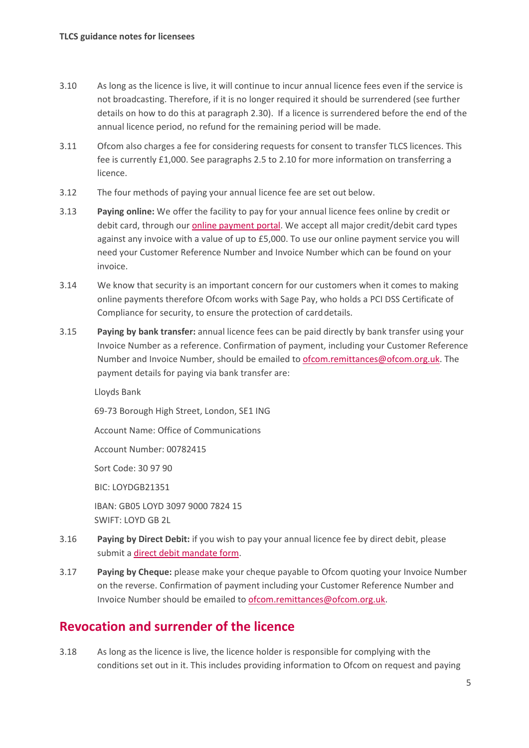- 3.10 As long as the licence is live, it will continue to incur annual licence fees even if the service is not broadcasting. Therefore, if it is no longer required it should be surrendered (see further details on how to do this at paragraph 2.30). If a licence is surrendered before the end of the annual licence period, no refund for the remaining period will be made.
- 3.11 Ofcom also charges a fee for considering requests for consent to transfer TLCS licences. This fee is currently £1,000. See paragraphs 2.5 to 2.10 for more information on transferring a licence.
- 3.12 The four methods of paying your annual licence fee are set out below.
- 3.13 **Paying online:** We offer the facility to pay for your annual licence fees online by credit or debit card, through our [online payment portal.](https://secure.ofcom.org.uk/payments/welcome.php) We accept all major credit/debit card types against any invoice with a value of up to £5,000. To use our online payment service you will need your Customer Reference Number and Invoice Number which can be found on your invoice.
- 3.14 We know that security is an important concern for our customers when it comes to making online payments therefore Ofcom works with Sage Pay, who holds a PCI DSS Certificate of Compliance for security, to ensure the protection of carddetails.
- 3.15 **Paying by bank transfer:** annual licence fees can be paid directly by bank transfer using your Invoice Number as a reference. Confirmation of payment, including your Customer Reference Number and Invoice Number, should be emailed to [ofcom.remittances@ofcom.org.uk.](mailto:ofcom.remittances@ofcom.org.uk) The payment details for paying via bank transfer are:

Lloyds Bank

69-73 Borough High Street, London, SE1 ING

Account Name: Office of Communications

Account Number: 00782415

Sort Code: 30 97 90

BIC: LOYDGB21351

IBAN: GB05 LOYD 3097 9000 7824 15 SWIFT: LOYD GB 2L

- 3.16 **Paying by Direct Debit:** if you wish to pay your annual licence fee by direct debit, please submit [a direct debit mandate form.](https://www.ofcom.org.uk/__data/assets/pdf_file/0012/5421/ddi-mandate.pdf)
- 3.17 **Paying by Cheque:** please make your cheque payable to Ofcom quoting your Invoice Number on the reverse. Confirmation of payment including your Customer Reference Number and Invoice Number should be emailed to [ofcom.remittances@ofcom.org.uk.](mailto:ofcom.remittances@ofcom.org.uk)

### **Revocation and surrender of the licence**

3.18 As long as the licence is live, the licence holder is responsible for complying with the conditions set out in it. This includes providing information to Ofcom on request and paying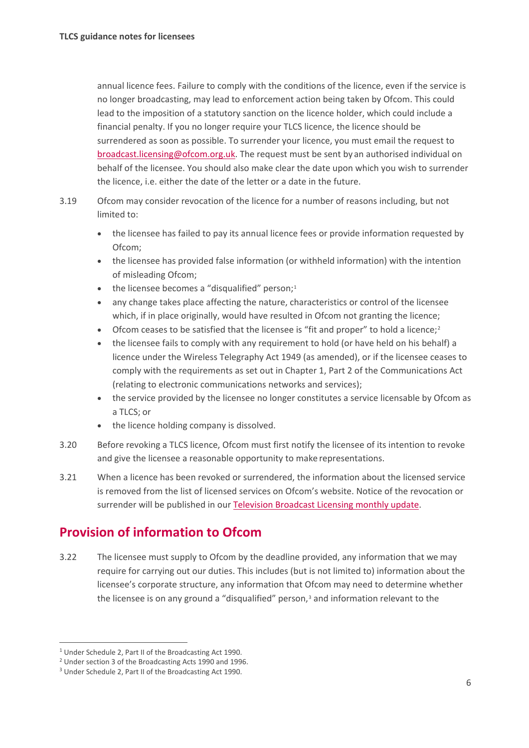annual licence fees. Failure to comply with the conditions of the licence, even if the service is no longer broadcasting, may lead to enforcement action being taken by Ofcom. This could lead to the imposition of a statutory sanction on the licence holder, which could include a financial penalty. If you no longer require your TLCS licence, the licence should be surrendered as soon as possible. To surrender your licence, you must email the request to [broadcast.licensing@ofcom.org.uk.](mailto:broadcast.licensing@ofcom.org.uk) The request must be sent by an authorised individual on behalf of the licensee. You should also make clear the date upon which you wish to surrender the licence, i.e. either the date of the letter or a date in the future.

- 3.19 Ofcom may consider revocation of the licence for a number of reasons including, but not limited to:
	- the licensee has failed to pay its annual licence fees or provide information requested by Ofcom;
	- the licensee has provided false information (or withheld information) with the intention of misleading Ofcom;
	- the licensee becomes a "disqualified" person; $1$
	- any change takes place affecting the nature, characteristics or control of the licensee which, if in place originally, would have resulted in Ofcom not granting the licence;
	- Ofcom ceases to be satisfied that the licensee is "fit and proper" to hold a licence;<sup>[2](#page-7-1)</sup>
	- the licensee fails to comply with any requirement to hold (or have held on his behalf) a licence under the Wireless Telegraphy Act 1949 (as amended), or if the licensee ceases to comply with the requirements as set out in Chapter 1, Part 2 of the Communications Act (relating to electronic communications networks and services);
	- the service provided by the licensee no longer constitutes a service licensable by Ofcom as a TLCS; or
	- the licence holding company is dissolved.
- 3.20 Before revoking a TLCS licence, Ofcom must first notify the licensee of its intention to revoke and give the licensee a reasonable opportunity to make representations.
- 3.21 When a licence has been revoked or surrendered, the information about the licensed service is removed from the list of licensed services on Ofcom's website. Notice of the revocation or surrender will be published in ou[r Television Broadcast Licensing monthly](https://www.ofcom.org.uk/manage-your-licence/tv-broadcast-licences/updates) update.

### **Provision of information to Ofcom**

3.22 The licensee must supply to Ofcom by the deadline provided, any information that we may require for carrying out our duties. This includes (but is not limited to) information about the licensee's corporate structure, any information that Ofcom may need to determine whether the licensee is on any ground a "disqualified" person, $3$  and information relevant to the

<span id="page-7-0"></span><sup>1</sup> Under Schedule 2, Part II of the Broadcasting Act 1990.

<span id="page-7-1"></span><sup>2</sup> Under section 3 of the Broadcasting Acts 1990 and 1996.

<span id="page-7-2"></span><sup>3</sup> Under Schedule 2, Part II of the Broadcasting Act 1990.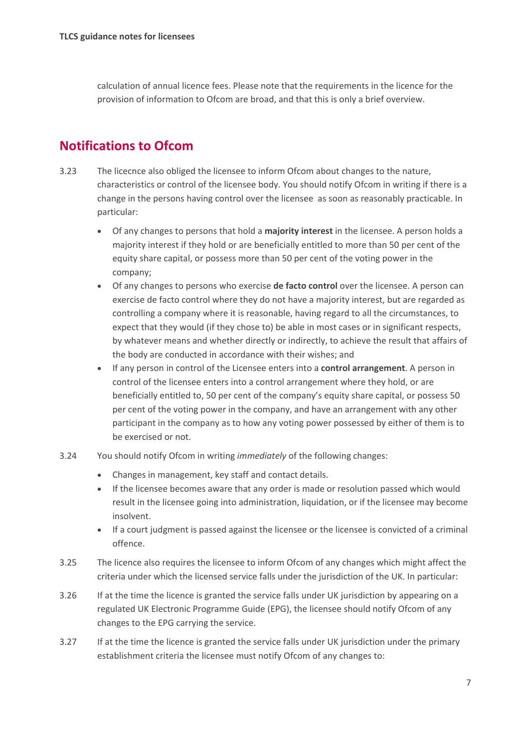calculation of annual licence fees. Please note that the requirements in the licence for the provision of information to Ofcom are broad, and that this is only a brief overview.

### **Notifications to Ofcom**

- 3.23 The licecnce also obliged the licensee to inform Ofcom about changes to the nature, characteristics or control of the licensee body. You should notify Ofcom in writing if there is a change in the persons having control over the licensee as soon as reasonably practicable. In particular:
	- Of any changes to persons that hold a **majority interest** in the licensee. A person holds a majority interest if they hold or are beneficially entitled to more than 50 per cent of the equity share capital, or possess more than 50 per cent of the voting power in the company;
	- Of any changes to persons who exercise **de facto control** over the licensee. A person can exercise de facto control where they do not have a majority interest, but are regarded as controlling a company where it is reasonable, having regard to all the circumstances, to expect that they would (if they chose to) be able in most cases or in significant respects, by whatever means and whether directly or indirectly, to achieve the result that affairs of the body are conducted in accordance with their wishes; and
	- If any person in control of the Licensee enters into a **control arrangement**. A person in control of the licensee enters into a control arrangement where they hold, or are beneficially entitled to, 50 per cent of the company's equity share capital, or possess 50 per cent of the voting power in the company, and have an arrangement with any other participant in the company as to how any voting power possessed by either of them is to be exercised or not.
- 3.24 You should notify Ofcom in writing *immediately* of the following changes:
	- Changes in management, key staff and contact details.
	- If the licensee becomes aware that any order is made or resolution passed which would result in the licensee going into administration, liquidation, or if the licensee may become insolvent.
	- If a court judgment is passed against the licensee or the licensee is convicted of a criminal offence.
- 3.25 The licence also requires the licensee to inform Ofcom of any changes which might affect the criteria under which the licensed service falls under the jurisdiction of the UK. In particular:
- 3.26 If at the time the licence is granted the service falls under UK jurisdiction by appearing on a regulated UK Electronic Programme Guide (EPG), the licensee should notify Ofcom of any changes to the EPG carrying the service.
- 3.27 If at the time the licence is granted the service falls under UK jurisdiction under the primary establishment criteria the licensee must notify Ofcom of any changes to: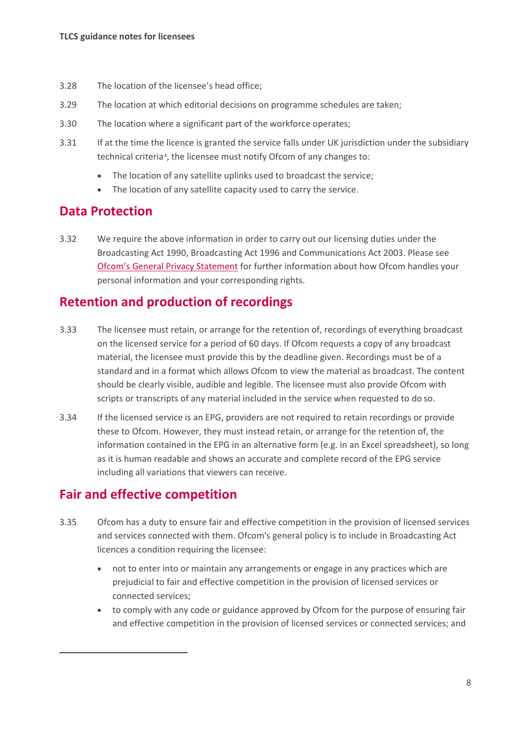- 3.28 The location of the licensee's head office;
- 3.29 The location at which editorial decisions on programme schedules are taken;
- 3.30 The location where a significant part of the workforce operates;
- 3.31 If at the time the licence is granted the service falls under UK jurisdiction under the subsidiary technical criteria<sup>4</sup>, the licensee must notify Ofcom of any changes to:
	- The location of any satellite uplinks used to broadcast the service;
	- The location of any satellite capacity used to carry the service.

#### **Data Protection**

3.32 We require the above information in order to carry out our licensing duties under the Broadcasting Act 1990, Broadcasting Act 1996 and Communications Act 2003. Please see [Ofcom's General Privacy Statement](https://www.ofcom.org.uk/about-ofcom/foi-dp/general-privacy-statement) for further information about how Ofcom handles your personal information and your corresponding rights.

#### **Retention and production of recordings**

- 3.33 The licensee must retain, or arrange for the retention of, recordings of everything broadcast on the licensed service for a period of 60 days. If Ofcom requests a copy of any broadcast material, the licensee must provide this by the deadline given. Recordings must be of a standard and in a format which allows Ofcom to view the material as broadcast. The content should be clearly visible, audible and legible. The licensee must also provide Ofcom with scripts or transcripts of any material included in the service when requested to do so.
- 3.34 If the licensed service is an EPG, providers are not required to retain recordings or provide these to Ofcom. However, they must instead retain, or arrange for the retention of, the information contained in the EPG in an alternative form (e.g. in an Excel spreadsheet), so long as it is human readable and shows an accurate and complete record of the EPG service including all variations that viewers can receive.

### **Fair and effective competition**

- <span id="page-9-0"></span>3.35 Ofcom has a duty to ensure fair and effective competition in the provision of licensed services and services connected with them. Ofcom's general policy is to include in Broadcasting Act licences a condition requiring the licensee:
	- not to enter into or maintain any arrangements or engage in any practices which are prejudicial to fair and effective competition in the provision of licensed services or connected services;
	- to comply with any code or guidance approved by Ofcom for the purpose of ensuring fair and effective competition in the provision of licensed services or connected services; and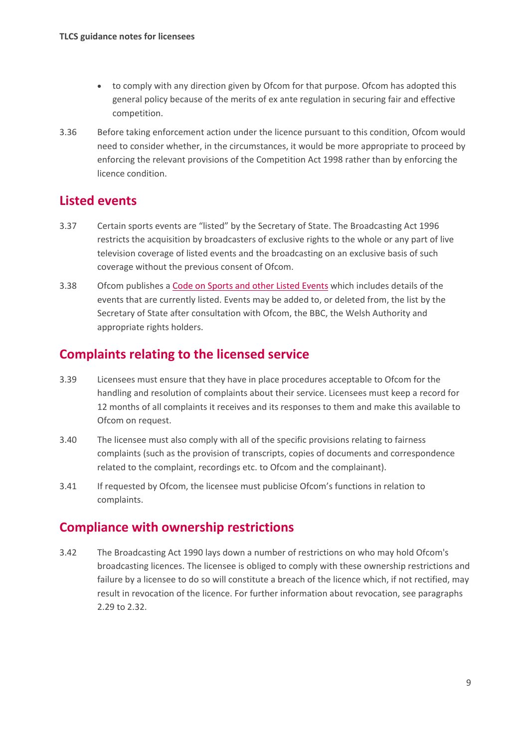- to comply with any direction given by Ofcom for that purpose. Ofcom has adopted this general policy because of the merits of ex ante regulation in securing fair and effective competition.
- 3.36 Before taking enforcement action under the licence pursuant to this condition, Ofcom would need to consider whether, in the circumstances, it would be more appropriate to proceed by enforcing the relevant provisions of the Competition Act 1998 rather than by enforcing the licence condition.

#### **Listed events**

- 3.37 Certain sports events are "listed" by the Secretary of State. The Broadcasting Act 1996 restricts the acquisition by broadcasters of exclusive rights to the whole or any part of live television coverage of listed events and the broadcasting on an exclusive basis of such coverage without the previous consent of Ofcom.
- 3.38 Ofcom publishes a [Code on Sports and other Listed Events](https://www.ofcom.org.uk/tv-radio-and-on-demand/broadcast-codes/code-sports-events) which includes details of the events that are currently listed. Events may be added to, or deleted from, the list by the Secretary of State after consultation with Ofcom, the BBC, the Welsh Authority and appropriate rights holders.

### **Complaints relating to the licensed service**

- 3.39 Licensees must ensure that they have in place procedures acceptable to Ofcom for the handling and resolution of complaints about their service. Licensees must keep a record for 12 months of all complaints it receives and its responses to them and make this available to Ofcom on request.
- 3.40 The licensee must also comply with all of the specific provisions relating to fairness complaints (such as the provision of transcripts, copies of documents and correspondence related to the complaint, recordings etc. to Ofcom and the complainant).
- 3.41 If requested by Ofcom, the licensee must publicise Ofcom's functions in relation to complaints.

### **Compliance with ownership restrictions**

3.42 The Broadcasting Act 1990 lays down a number of restrictions on who may hold Ofcom's broadcasting licences. The licensee is obliged to comply with these ownership restrictions and failure by a licensee to do so will constitute a breach of the licence which, if not rectified, may result in revocation of the licence. For further information about revocation, see paragraphs 2.29 to 2.32.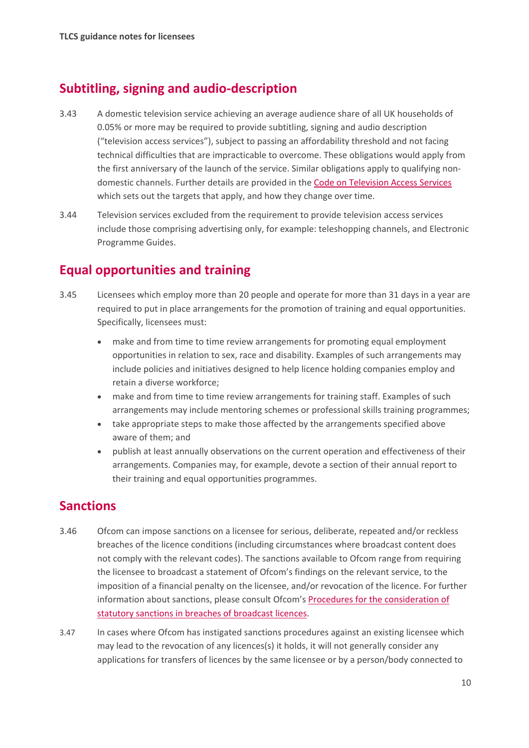## **Subtitling, signing and audio-description**

- 3.43 A domestic television service achieving an average audience share of all UK households of 0.05% or more may be required to provide subtitling, signing and audio description ("television access services"), subject to passing an affordability threshold and not facing technical difficulties that are impracticable to overcome. These obligations would apply from the first anniversary of the launch of the service. Similar obligations apply to qualifying nondomestic channels. Further details are provided in th[e Code on Television Access Services](https://www.ofcom.org.uk/tv-radio-and-on-demand/broadcast-codes/tv-access-services) which sets out the targets that apply, and how they change over time.
- 3.44 Television services excluded from the requirement to provide television access services include those comprising advertising only, for example: teleshopping channels, and Electronic Programme Guides.

### **Equal opportunities and training**

- 3.45 Licensees which employ more than 20 people and operate for more than 31 days in a year are required to put in place arrangements for the promotion of training and equal opportunities. Specifically, licensees must:
	- make and from time to time review arrangements for promoting equal employment opportunities in relation to sex, race and disability. Examples of such arrangements may include policies and initiatives designed to help licence holding companies employ and retain a diverse workforce;
	- make and from time to time review arrangements for training staff. Examples of such arrangements may include mentoring schemes or professional skills training programmes;
	- take appropriate steps to make those affected by the arrangements specified above aware of them; and
	- publish at least annually observations on the current operation and effectiveness of their arrangements. Companies may, for example, devote a section of their annual report to their training and equal opportunities programmes.

### **Sanctions**

- 3.46 Ofcom can impose sanctions on a licensee for serious, deliberate, repeated and/or reckless breaches of the licence conditions (including circumstances where broadcast content does not comply with the relevant codes). The sanctions available to Ofcom range from requiring the licensee to broadcast a statement of Ofcom's findings on the relevant service, to the imposition of a financial penalty on the licensee, and/or revocation of the licence. For further information about sanctions, please consult Ofcom's [Procedures for the consideration of](https://www.ofcom.org.uk/__data/assets/pdf_file/0030/71967/Procedures_for_consideration.pdf)  [statutory sanctions in breaches of broadcast](https://www.ofcom.org.uk/__data/assets/pdf_file/0030/71967/Procedures_for_consideration.pdf) licences.
- 3.47 In cases where Ofcom has instigated sanctions procedures against an existing licensee which may lead to the revocation of any licences(s) it holds, it will not generally consider any applications for transfers of licences by the same licensee or by a person/body connected to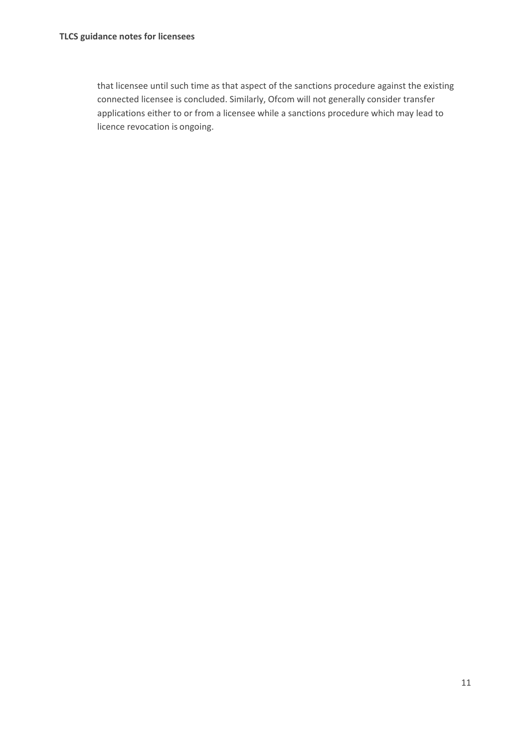that licensee until such time as that aspect of the sanctions procedure against the existing connected licensee is concluded. Similarly, Ofcom will not generally consider transfer applications either to or from a licensee while a sanctions procedure which may lead to licence revocation is ongoing.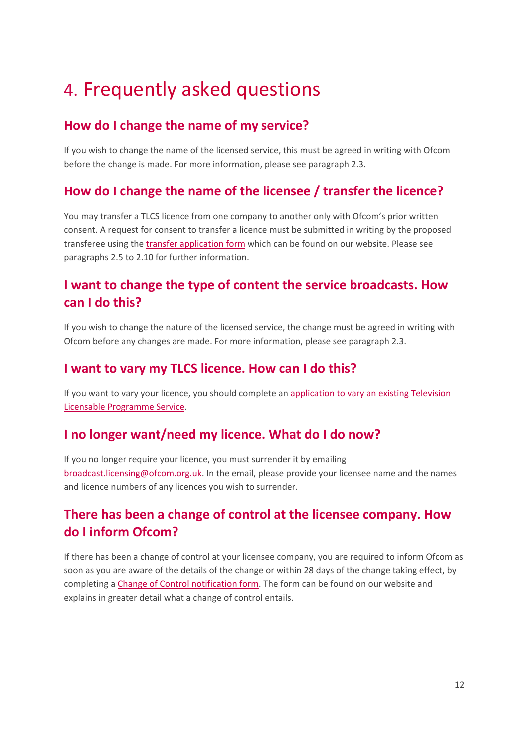# <span id="page-13-0"></span>4. Frequently asked questions

## **How do I change the name of my service?**

If you wish to change the name of the licensed service, this must be agreed in writing with Ofcom before the change is made. For more information, please see paragraph 2.3.

## **How do I change the name of the licensee / transfer the licence?**

You may transfer a TLCS licence from one company to another only with Ofcom's prior written consent. A request for consent to transfer a licence must be submitted in writing by the proposed transferee using the [transfer application form](https://www.ofcom.org.uk/manage-your-licence/tv-broadcast-licences/changes-to-tv-broadcast-licences) which can be found on our website. Please see paragraphs 2.5 to 2.10 for further information.

## **I want to change the type of content the service broadcasts. How can I do this?**

If you wish to change the nature of the licensed service, the change must be agreed in writing with Ofcom before any changes are made. For more information, please see paragraph 2.3.

### **I want to vary my TLCS licence. How can I do this?**

If you want to vary your licence, you should complete an application to [vary an existing Television](https://www.ofcom.org.uk/__data/assets/pdf_file/0019/36127/application-to-vary-existing-tlcs.pdf)  [Licensable Programme](https://www.ofcom.org.uk/__data/assets/pdf_file/0019/36127/application-to-vary-existing-tlcs.pdf) Service.

## **I no longer want/need my licence. What do I do now?**

If you no longer require your licence, you must surrender it by emailing [broadcast.licensing@ofcom.org.uk.](mailto:broadcast.licensing@ofcom.org.uk) In the email, please provide your licensee name and the names and licence numbers of any licences you wish to surrender.

## **There has been a change of control at the licensee company. How do I inform Ofcom?**

If there has been a change of control at your licensee company, you are required to inform Ofcom as soon as you are aware of the details of the change or within 28 days of the change taking effect, by completing a [Change of Control notification form.](https://www.ofcom.org.uk/__data/assets/file/0014/3560/Change-of-Control-Notification-Form.docx) The form can be found on our website and explains in greater detail what a change of control entails.